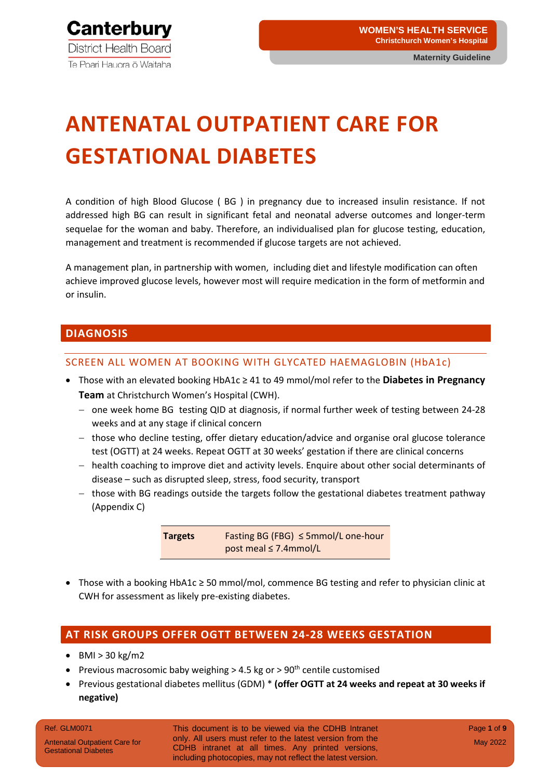

# **ANTENATAL OUTPATIENT CARE FOR GESTATIONAL DIABETES**

A condition of high Blood Glucose ( BG ) in pregnancy due to increased insulin resistance. If not addressed high BG can result in significant fetal and neonatal adverse outcomes and longer-term sequelae for the woman and baby. Therefore, an individualised plan for glucose testing, education, management and treatment is recommended if glucose targets are not achieved.

A management plan, in partnership with women, including diet and lifestyle modification can often achieve improved glucose levels, however most will require medication in the form of metformin and or insulin.

#### **DIAGNOSIS**

#### SCREEN ALL WOMEN AT BOOKING WITH GLYCATED HAEMAGLOBIN (HbA1c)

- Those with an elevated booking HbA1c ≥ 41 to 49 mmol/mol refer to the **Diabetes in Pregnancy Team** at Christchurch Women's Hospital (CWH).
	- − one week home BG testing QID at diagnosis, if normal further week of testing between 24-28 weeks and at any stage if clinical concern
	- − those who decline testing, offer dietary education/advice and organise oral glucose tolerance test (OGTT) at 24 weeks. Repeat OGTT at 30 weeks' gestation if there are clinical concerns
	- − health coaching to improve diet and activity levels. Enquire about other social determinants of disease – such as disrupted sleep, stress, food security, transport
	- − those with BG readings outside the targets follow the gestational diabetes treatment pathway (Appendix C)

**Targets** Fasting BG (FBG) ≤ 5mmol/L one-hour post meal ≤ 7.4mmol/L

• Those with a booking HbA1c ≥ 50 mmol/mol, commence BG testing and refer to physician clinic at CWH for assessment as likely pre-existing diabetes.

#### **AT RISK GROUPS OFFER OGTT BETWEEN 24-28 WEEKS GESTATION**

- $\bullet$  BMI > 30 kg/m2
- Previous macrosomic baby weighing  $>$  4.5 kg or  $>$  90<sup>th</sup> centile customised
- Previous gestational diabetes mellitus (GDM) \* **(offer OGTT at 24 weeks and repeat at 30 weeks if negative)**

#### Ref. GLM0071

Antenatal Outpatient Care for Gestational Diabetes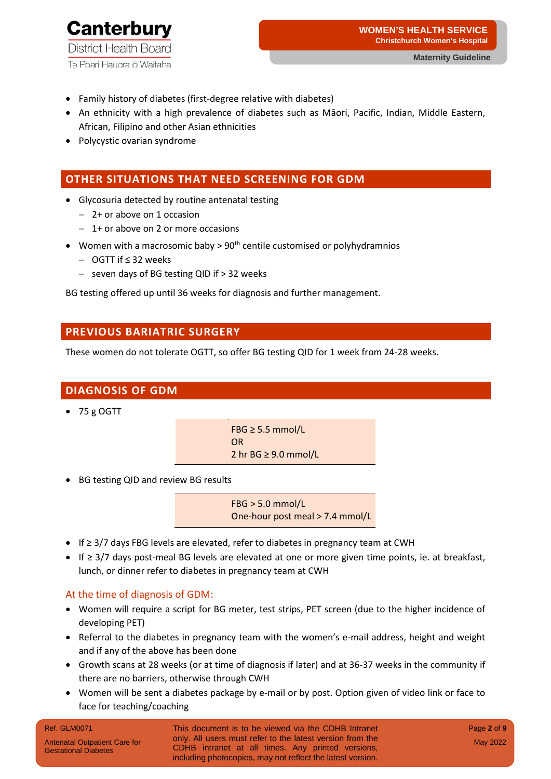

- Family history of diabetes (first-degree relative with diabetes)
- An ethnicity with a high prevalence of diabetes such as Māori, Pacific, Indian, Middle Eastern, African, Filipino and other Asian ethnicities
- Polycystic ovarian syndrome

#### **OTHER SITUATIONS THAT NEED SCREENING FOR GDM**

- Glycosuria detected by routine antenatal testing
	- − 2+ or above on 1 occasion
	- − 1+ or above on 2 or more occasions
- Women with a macrosomic baby  $> 90<sup>th</sup>$  centile customised or polyhydramnios
	- − OGTT if ≤ 32 weeks
	- − seven days of BG testing QID if > 32 weeks

BG testing offered up until 36 weeks for diagnosis and further management.

#### **PREVIOUS BARIATRIC SURGERY**

These women do not tolerate OGTT, so offer BG testing QID for 1 week from 24-28 weeks.

#### **DIAGNOSIS OF GDM**

• 75 g OGTT

FBG ≥ 5.5 mmol/L OR 2 hr BG ≥ 9.0 mmol/L

• BG testing QID and review BG results

FBG > 5.0 mmol/L One-hour post meal > 7.4 mmol/L

- If ≥ 3/7 days FBG levels are elevated, refer to diabetes in pregnancy team at CWH
- If ≥ 3/7 days post-meal BG levels are elevated at one or more given time points, ie. at breakfast, lunch, or dinner refer to diabetes in pregnancy team at CWH

#### At the time of diagnosis of GDM:

- Women will require a script for BG meter, test strips, PET screen (due to the higher incidence of developing PET)
- Referral to the diabetes in pregnancy team with the women's e-mail address, height and weight and if any of the above has been done
- Growth scans at 28 weeks (or at time of diagnosis if later) and at 36-37 weeks in the community if there are no barriers, otherwise through CWH
- Women will be sent a diabetes package by e-mail or by post. Option given of video link or face to face for teaching/coaching

#### Ref. GLM0071

Antenatal Outpatient Care for Gestational Diabetes

This document is to be viewed via the CDHB Intranet only. All users must refer to the latest version from the CDHB intranet at all times. Any printed versions, including photocopies, may not reflect the latest version.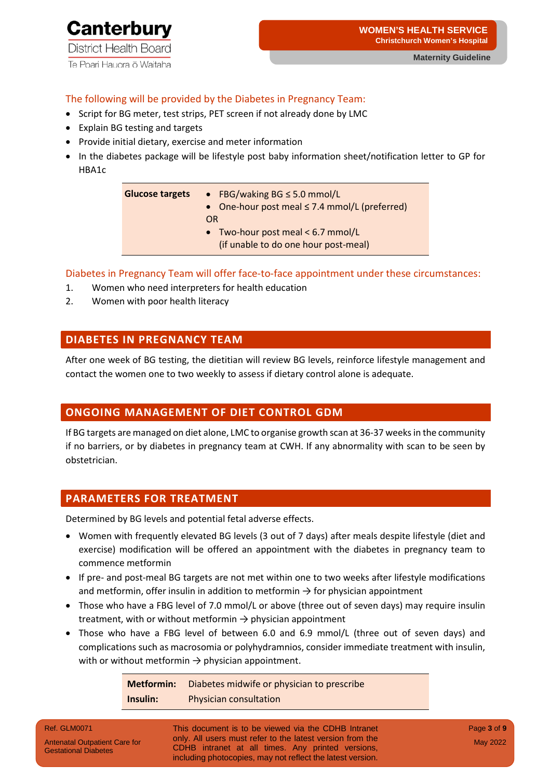

#### The following will be provided by the Diabetes in Pregnancy Team:

- Script for BG meter, test strips, PET screen if not already done by LMC
- Explain BG testing and targets
- Provide initial dietary, exercise and meter information
- In the diabetes package will be lifestyle post baby information sheet/notification letter to GP for HBA1c

| <b>Glucose targets</b> | • FBG/waking $BG \le 5.0$ mmol/L<br>• One-hour post meal $\leq$ 7.4 mmol/L (preferred)<br>OR |
|------------------------|----------------------------------------------------------------------------------------------|
|                        | • Two-hour post meal $<$ 6.7 mmol/L<br>(if unable to do one hour post-meal)                  |

Diabetes in Pregnancy Team will offer face-to-face appointment under these circumstances:

- 1. Women who need interpreters for health education
- 2. Women with poor health literacy

#### **DIABETES IN PREGNANCY TEAM**

After one week of BG testing, the dietitian will review BG levels, reinforce lifestyle management and contact the women one to two weekly to assess if dietary control alone is adequate.

#### **ONGOING MANAGEMENT OF DIET CONTROL GDM**

If BG targets are managed on diet alone, LMC to organise growth scan at 36-37 weeks in the community if no barriers, or by diabetes in pregnancy team at CWH. If any abnormality with scan to be seen by obstetrician.

#### **PARAMETERS FOR TREATMENT**

Determined by BG levels and potential fetal adverse effects.

- Women with frequently elevated BG levels (3 out of 7 days) after meals despite lifestyle (diet and exercise) modification will be offered an appointment with the diabetes in pregnancy team to commence metformin
- If pre- and post-meal BG targets are not met within one to two weeks after lifestyle modifications and metformin, offer insulin in addition to metformin  $\rightarrow$  for physician appointment
- Those who have a FBG level of 7.0 mmol/L or above (three out of seven days) may require insulin treatment, with or without metformin  $\rightarrow$  physician appointment
- Those who have a FBG level of between 6.0 and 6.9 mmol/L (three out of seven days) and complications such as macrosomia or polyhydramnios, consider immediate treatment with insulin, with or without metformin  $\rightarrow$  physician appointment.

**Metformin:** Diabetes midwife or physician to prescribe **Insulin:** Physician consultation

Ref. GLM0071

This document is to be viewed via the CDHB Intranet only. All users must refer to the latest version from the CDHB intranet at all times. Any printed versions, including photocopies, may not reflect the latest version.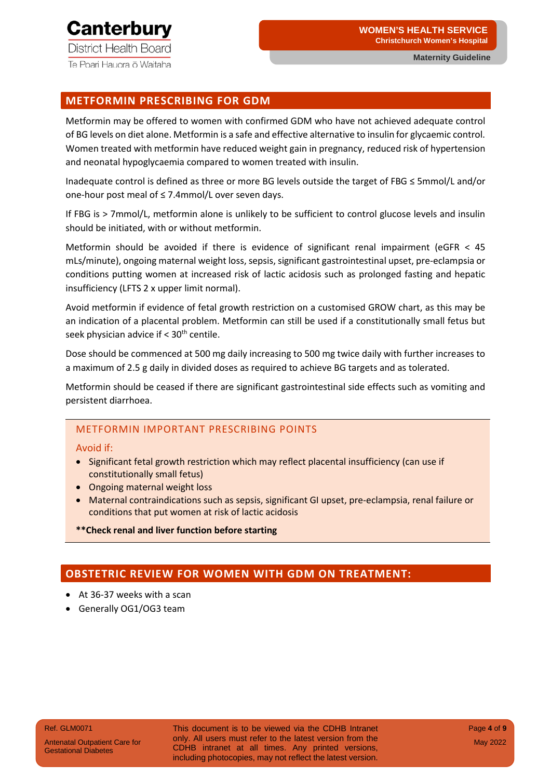**District Health Board** 

Te Poari Hauora o Waitaha

#### **METFORMIN PRESCRIBING FOR GDM**

Metformin may be offered to women with confirmed GDM who have not achieved adequate control of BG levels on diet alone. Metformin is a safe and effective alternative to insulin for glycaemic control. Women treated with metformin have reduced weight gain in pregnancy, reduced risk of hypertension and neonatal hypoglycaemia compared to women treated with insulin.

Inadequate control is defined as three or more BG levels outside the target of FBG ≤ 5mmol/L and/or one-hour post meal of ≤ 7.4mmol/L over seven days.

If FBG is > 7mmol/L, metformin alone is unlikely to be sufficient to control glucose levels and insulin should be initiated, with or without metformin.

Metformin should be avoided if there is evidence of significant renal impairment (eGFR  $<$  45 mLs/minute), ongoing maternal weight loss, sepsis, significant gastrointestinal upset, pre-eclampsia or conditions putting women at increased risk of lactic acidosis such as prolonged fasting and hepatic insufficiency (LFTS 2 x upper limit normal).

Avoid metformin if evidence of fetal growth restriction on a customised GROW chart, as this may be an indication of a placental problem. Metformin can still be used if a constitutionally small fetus but seek physician advice if  $< 30<sup>th</sup>$  centile.

Dose should be commenced at 500 mg daily increasing to 500 mg twice daily with further increases to a maximum of 2.5 g daily in divided doses as required to achieve BG targets and as tolerated.

Metformin should be ceased if there are significant gastrointestinal side effects such as vomiting and persistent diarrhoea.

#### METFORMIN IMPORTANT PRESCRIBING POINTS

#### Avoid if:

- Significant fetal growth restriction which may reflect placental insufficiency (can use if constitutionally small fetus)
- Ongoing maternal weight loss
- Maternal contraindications such as sepsis, significant GI upset, pre-eclampsia, renal failure or conditions that put women at risk of lactic acidosis
- **\*\*Check renal and liver function before starting**

#### **OBSTETRIC REVIEW FOR WOMEN WITH GDM ON TREATMENT:**

- At 36-37 weeks with a scan
- Generally OG1/OG3 team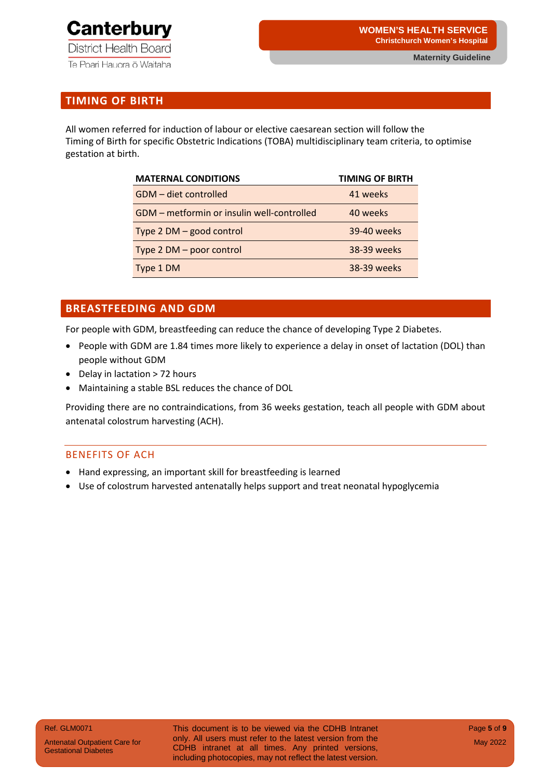

#### **TIMING OF BIRTH**

All women referred for induction of labour or elective caesarean section will follow the Timing of Birth for specific Obstetric Indications (TOBA) multidisciplinary team criteria, to optimise gestation at birth.

| <b>MATERNAL CONDITIONS</b>                 | <b>TIMING OF BIRTH</b> |
|--------------------------------------------|------------------------|
| GDM - diet controlled                      | 41 weeks               |
| GDM - metformin or insulin well-controlled | 40 weeks               |
| Type 2 DM - good control                   | 39-40 weeks            |
| Type 2 DM - poor control                   | 38-39 weeks            |
| Type 1 DM                                  | 38-39 weeks            |

#### **BREASTFEEDING AND GDM**

For people with GDM, breastfeeding can reduce the chance of developing Type 2 Diabetes.

- People with GDM are 1.84 times more likely to experience a delay in onset of lactation (DOL) than people without GDM
- Delay in lactation > 72 hours
- Maintaining a stable BSL reduces the chance of DOL

Providing there are no contraindications, from 36 weeks gestation, teach all people with GDM about antenatal colostrum harvesting (ACH).

#### BENEFITS OF ACH

- Hand expressing, an important skill for breastfeeding is learned
- Use of colostrum harvested antenatally helps support and treat neonatal hypoglycemia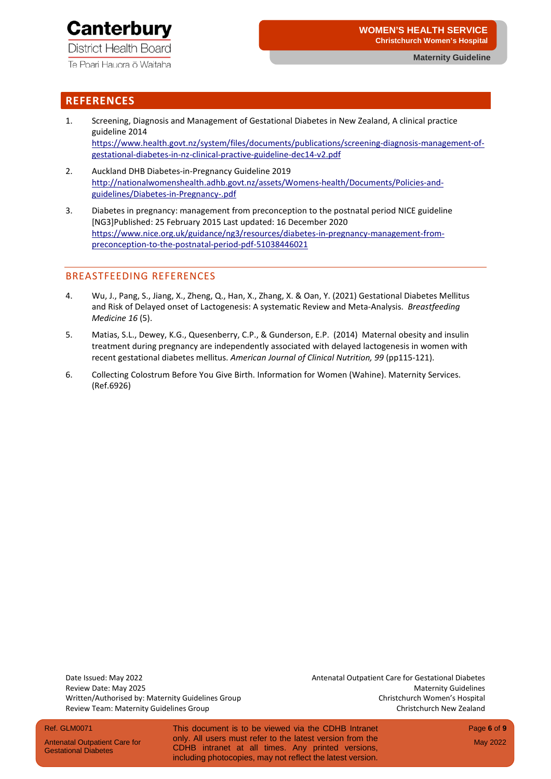Te Poari Hauora ō Waitaha

#### **REFERENCES**

- 1. Screening, Diagnosis and Management of Gestational Diabetes in New Zealand, A clinical practice guideline 2014 [https://www.health.govt.nz/system/files/documents/publications/screening-diagnosis-management-of](https://www.health.govt.nz/system/files/documents/publications/screening-diagnosis-management-of-gestational-diabetes-in-nz-clinical-practive-guideline-dec14-v2.pdf)[gestational-diabetes-in-nz-clinical-practive-guideline-dec14-v2.pdf](https://www.health.govt.nz/system/files/documents/publications/screening-diagnosis-management-of-gestational-diabetes-in-nz-clinical-practive-guideline-dec14-v2.pdf)
- 2. Auckland DHB Diabetes-in-Pregnancy Guideline 2019 [http://nationalwomenshealth.adhb.govt.nz/assets/Womens-health/Documents/Policies-and](http://nationalwomenshealth.adhb.govt.nz/assets/Womens-health/Documents/Policies-and-guidelines/Diabetes-in-Pregnancy-.pdf)[guidelines/Diabetes-in-Pregnancy-.pdf](http://nationalwomenshealth.adhb.govt.nz/assets/Womens-health/Documents/Policies-and-guidelines/Diabetes-in-Pregnancy-.pdf)
- 3. Diabetes in pregnancy: management from preconception to the postnatal period NICE guideline [NG3]Published: 25 February 2015 Last updated: 16 December 2020 [https://www.nice.org.uk/guidance/ng3/resources/diabetes-in-pregnancy-management-from](https://www.nice.org.uk/guidance/ng3/resources/diabetes-in-pregnancy-management-from-preconception-to-the-postnatal-period-pdf-51038446021)[preconception-to-the-postnatal-period-pdf-](https://www.nice.org.uk/guidance/ng3/resources/diabetes-in-pregnancy-management-from-preconception-to-the-postnatal-period-pdf-51038446021)51038446021

#### BREASTFEEDING REFERENCES

- 4. Wu, J., Pang, S., Jiang, X., Zheng, Q., Han, X., Zhang, X. & Oan, Y. (2021) Gestational Diabetes Mellitus and Risk of Delayed onset of Lactogenesis: A systematic Review and Meta-Analysis. *Breastfeeding Medicine 16* (5).
- 5. Matias, S.L., Dewey, K.G., Quesenberry, C.P., & Gunderson, E.P. (2014) Maternal obesity and insulin treatment during pregnancy are independently associated with delayed lactogenesis in women with recent gestational diabetes mellitus. *American Journal of Clinical Nutrition, 99* (pp115-121).
- 6. Collecting Colostrum Before You Give Birth. Information for Women (Wahine). Maternity Services. (Ref.6926)

Date Issued: May 2022 Antenatal Outpatient Care for Gestational Diabetes Review Team: Maternity Guidelines Group Christchurch New Zealand

Review Date: May 2025 **Maternity Guidelines** Review Date: Maternity Guidelines Written/Authorised by: Maternity Guidelines Group Christchurch Women's Hospital

#### Ref. GLM0071

Antenatal Outpatient Care for Gestational Diabetes

This document is to be viewed via the CDHB Intranet only. All users must refer to the latest version from the CDHB intranet at all times. Any printed versions, including photocopies, may not reflect the latest version.

Page **6** of **9** May 2022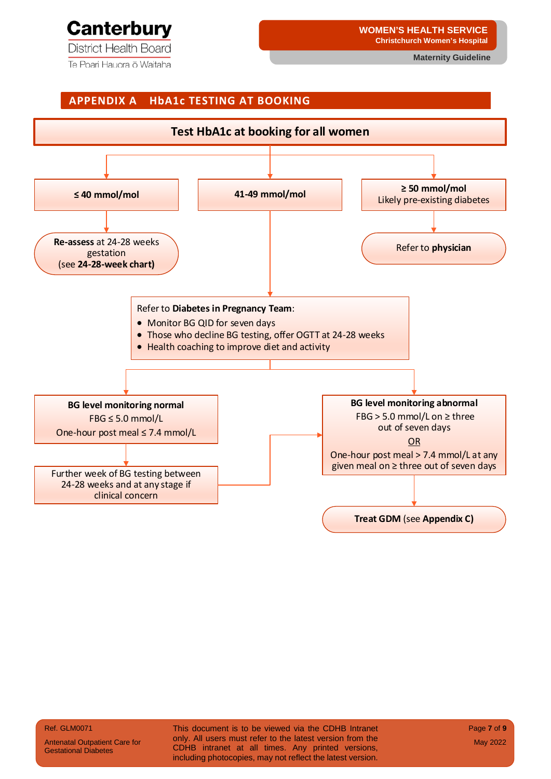## **Canterbury**

**District Health Board** 

Te Poari Hauora ō Waitaha

## **APPENDIX A HbA1c TESTING AT BOOKING ≤ 40 mmol/mol Test HbA1c at booking for all women 41-49 mmol/mol <sup>≥</sup>50 mmol/mol** Likely pre-existing diabetes **Re-assess** at 24-28 weeks gestation (see **24-28-week chart)** Refer to **physician** Refer to **Diabetes in Pregnancy Team**: • Monitor BG QID for seven days • Those who decline BG testing, offer OGTT at 24-28 weeks • Health coaching to improve diet and activity **BG level monitoring normal** FBG ≤ 5.0 mmol/L One-hour post meal ≤ 7.4 mmol/L **BG level monitoring abnormal**  $FBG > 5.0$  mmol/L on  $\geq$  three out of seven days OR One-hour post meal > 7.4 mmol/L at any Further week of BG testing between and the seven days Further week of BG testing between 24-28 weeks and at any stage if clinical concern **Treat GDM** (see **Appendix C)**

Ref. GLM0071

Antenatal Outpatient Care for Gestational Diabetes

This document is to be viewed via the CDHB Intranet only. All users must refer to the latest version from the CDHB intranet at all times. Any printed versions, including photocopies, may not reflect the latest version.

Page **7** of **9** May 2022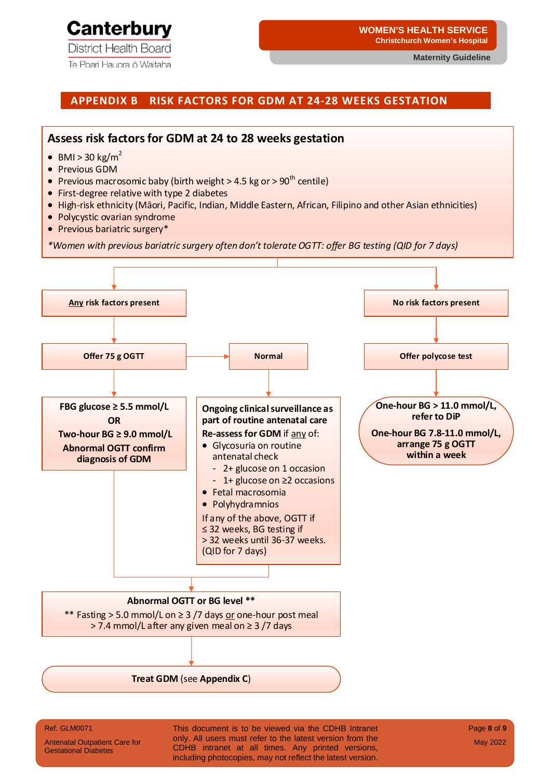

Te Poari Hauora ō Waitaha

#### **WOMEN'S HEALTH SERVICE Christchurch Women's Hospital**

**Maternity Guideline**

#### **APPENDIX B RISK FACTORS FOR GDM AT 24-28 WEEKS GESTATION**



#### Ref. GLM0071

Antenatal Outpatient Care for Gestational Diabetes

This document is to be viewed via the CDHB Intranet only. All users must refer to the latest version from the CDHB intranet at all times. Any printed versions, including photocopies, may not reflect the latest version.

Page **8** of **9** May 2022